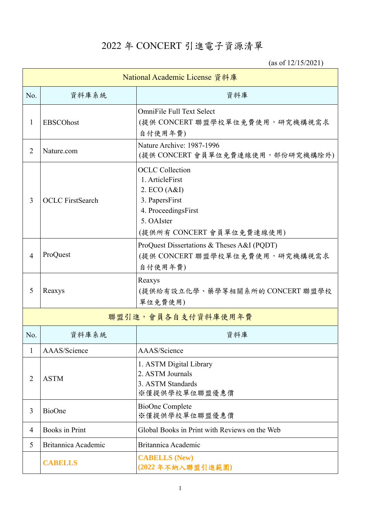## 2022 年 CONCERT 引進電子資源清單

(as of 12/15/2021)

| National Academic License 資料庫 |                         |                                                                                                                                               |  |  |
|-------------------------------|-------------------------|-----------------------------------------------------------------------------------------------------------------------------------------------|--|--|
| No.                           | 資料庫系統                   | 資料庫                                                                                                                                           |  |  |
| 1                             | <b>EBSCOhost</b>        | <b>OmniFile Full Text Select</b><br>(提供 CONCERT 聯盟學校單位免費使用, 研究機構視需求<br>自付使用年費)                                                                |  |  |
| $\overline{2}$                | Nature.com              | Nature Archive: 1987-1996<br>(提供 CONCERT 會員單位免費連線使用,部份研究機構除外)                                                                                 |  |  |
| 3                             | <b>OCLC</b> FirstSearch | <b>OCLC</b> Collection<br>1. ArticleFirst<br>2. ECO (A&I)<br>3. PapersFirst<br>4. ProceedingsFirst<br>5. OAIster<br>(提供所有 CONCERT 會員單位免費連線使用) |  |  |
| $\overline{4}$                | ProQuest                | ProQuest Dissertations & Theses A&I (PQDT)<br>(提供 CONCERT 聯盟學校單位免費使用, 研究機構視需求<br>自付使用年費)                                                      |  |  |
| 5                             | Reaxys                  | Reaxys<br>(提供給有設立化學、藥學等相關系所的CONCERT 聯盟學校<br>單位免費使用)                                                                                           |  |  |
|                               |                         | 聯盟引進,會員各自支付資料庫使用年費                                                                                                                            |  |  |
| No.                           | 資料庫系統                   | 資料庫                                                                                                                                           |  |  |
| 1                             | AAAS/Science            | AAAS/Science                                                                                                                                  |  |  |
| $\overline{2}$                | <b>ASTM</b>             | 1. ASTM Digital Library<br>2. ASTM Journals<br>3. ASTM Standards<br>※僅提供學校單位聯盟優惠價                                                             |  |  |
| 3                             | <b>BioOne</b>           | <b>BioOne Complete</b><br>※僅提供學校單位聯盟優惠價                                                                                                       |  |  |
| $\overline{4}$                | <b>Books</b> in Print   | Global Books in Print with Reviews on the Web                                                                                                 |  |  |
| 5                             | Britannica Academic     | Britannica Academic                                                                                                                           |  |  |
|                               | <b>CABELLS</b>          | <b>CABELLS (New)</b><br>(2022年不納入聯盟引進範圍)                                                                                                      |  |  |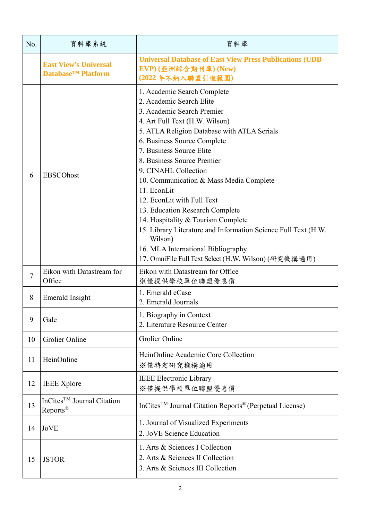| No.            | 資料庫系統                                                                | 資料庫                                                                                                                                                                                                                                                                                                                                                                                                                                                                                                                                                                                                                                 |
|----------------|----------------------------------------------------------------------|-------------------------------------------------------------------------------------------------------------------------------------------------------------------------------------------------------------------------------------------------------------------------------------------------------------------------------------------------------------------------------------------------------------------------------------------------------------------------------------------------------------------------------------------------------------------------------------------------------------------------------------|
|                | <b>East View's Universal</b><br><b>Database<sup>™</sup> Platform</b> | <b>Universal Database of East View Press Publications (UDB-</b><br>EVP) (亞洲綜合期刊庫) (New)<br>(2022年不納入聯盟引進範圍)                                                                                                                                                                                                                                                                                                                                                                                                                                                                                                                         |
| 6              | <b>EBSCOhost</b>                                                     | 1. Academic Search Complete<br>2. Academic Search Elite<br>3. Academic Search Premier<br>4. Art Full Text (H.W. Wilson)<br>5. ATLA Religion Database with ATLA Serials<br>6. Business Source Complete<br>7. Business Source Elite<br>8. Business Source Premier<br>9. CINAHL Collection<br>10. Communication & Mass Media Complete<br>11. EconLit<br>12. EconLit with Full Text<br>13. Education Research Complete<br>14. Hospitality & Tourism Complete<br>15. Library Literature and Information Science Full Text (H.W.<br>Wilson)<br>16. MLA International Bibliography<br>17. OmniFile Full Text Select (H.W. Wilson) (研究機構適用) |
| $\overline{7}$ | Eikon with Datastream for<br>Office                                  | Eikon with Datastream for Office<br>※僅提供學校單位聯盟優惠價                                                                                                                                                                                                                                                                                                                                                                                                                                                                                                                                                                                   |
| 8              | Emerald Insight                                                      | 1. Emerald eCase<br>2. Emerald Journals                                                                                                                                                                                                                                                                                                                                                                                                                                                                                                                                                                                             |
| 9              | Gale                                                                 | 1. Biography in Context<br>2. Literature Resource Center                                                                                                                                                                                                                                                                                                                                                                                                                                                                                                                                                                            |
| 10             | Grolier Online                                                       | Grolier Online                                                                                                                                                                                                                                                                                                                                                                                                                                                                                                                                                                                                                      |
| 11             | HeinOnline                                                           | HeinOnline Academic Core Collection<br>※僅特定研究機構適用                                                                                                                                                                                                                                                                                                                                                                                                                                                                                                                                                                                   |
| 12             | <b>IEEE</b> Xplore                                                   | <b>IEEE Electronic Library</b><br>※僅提供學校單位聯盟優惠價                                                                                                                                                                                                                                                                                                                                                                                                                                                                                                                                                                                     |
| 13             | InCites <sup>TM</sup> Journal Citation<br>Reports <sup>®</sup>       | InCites <sup>™</sup> Journal Citation Reports <sup>®</sup> (Perpetual License)                                                                                                                                                                                                                                                                                                                                                                                                                                                                                                                                                      |
| 14             | <b>JoVE</b>                                                          | 1. Journal of Visualized Experiments<br>2. JoVE Science Education                                                                                                                                                                                                                                                                                                                                                                                                                                                                                                                                                                   |
| 15             | <b>JSTOR</b>                                                         | 1. Arts & Sciences I Collection<br>2. Arts & Sciences II Collection<br>3. Arts & Sciences III Collection                                                                                                                                                                                                                                                                                                                                                                                                                                                                                                                            |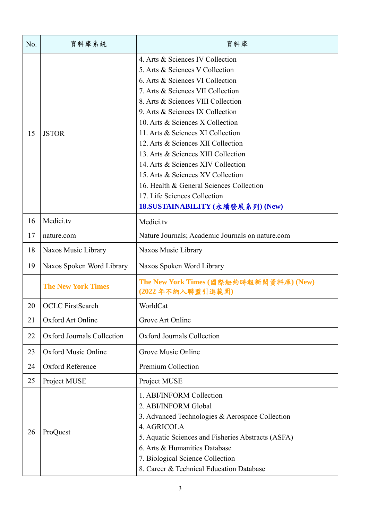| No. | 資料庫系統                      | 資料庫                                                                                                                                                                                                                                                                                                                                                                                                                                                                                                                                                                     |
|-----|----------------------------|-------------------------------------------------------------------------------------------------------------------------------------------------------------------------------------------------------------------------------------------------------------------------------------------------------------------------------------------------------------------------------------------------------------------------------------------------------------------------------------------------------------------------------------------------------------------------|
| 15  | <b>JSTOR</b>               | 4. Arts & Sciences IV Collection<br>5. Arts & Sciences V Collection<br>6. Arts & Sciences VI Collection<br>7. Arts & Sciences VII Collection<br>8. Arts & Sciences VIII Collection<br>9. Arts & Sciences IX Collection<br>10. Arts & Sciences X Collection<br>11. Arts & Sciences XI Collection<br>12. Arts & Sciences XII Collection<br>13. Arts & Sciences XIII Collection<br>14. Arts & Sciences XIV Collection<br>15. Arts & Sciences XV Collection<br>16. Health & General Sciences Collection<br>17. Life Sciences Collection<br>18.SUSTAINABILITY (永續發展系列) (New) |
| 16  | Medici.tv                  | Medici.tv                                                                                                                                                                                                                                                                                                                                                                                                                                                                                                                                                               |
| 17  | nature.com                 | Nature Journals; Academic Journals on nature.com                                                                                                                                                                                                                                                                                                                                                                                                                                                                                                                        |
| 18  | Naxos Music Library        | Naxos Music Library                                                                                                                                                                                                                                                                                                                                                                                                                                                                                                                                                     |
| 19  | Naxos Spoken Word Library  | Naxos Spoken Word Library                                                                                                                                                                                                                                                                                                                                                                                                                                                                                                                                               |
|     | <b>The New York Times</b>  | The New York Times (國際紐約時報新聞資料庫) (New)<br>(2022年不納入聯盟引進範圍)                                                                                                                                                                                                                                                                                                                                                                                                                                                                                                              |
| 20  | <b>OCLC</b> FirstSearch    | WorldCat                                                                                                                                                                                                                                                                                                                                                                                                                                                                                                                                                                |
| 21  | Oxford Art Online          | Grove Art Online                                                                                                                                                                                                                                                                                                                                                                                                                                                                                                                                                        |
| 22  | Oxford Journals Collection | <b>Oxford Journals Collection</b>                                                                                                                                                                                                                                                                                                                                                                                                                                                                                                                                       |
| 23  | <b>Oxford Music Online</b> | Grove Music Online                                                                                                                                                                                                                                                                                                                                                                                                                                                                                                                                                      |
| 24  | Oxford Reference           | Premium Collection                                                                                                                                                                                                                                                                                                                                                                                                                                                                                                                                                      |
| 25  | Project MUSE               | Project MUSE                                                                                                                                                                                                                                                                                                                                                                                                                                                                                                                                                            |
| 26  | ProQuest                   | 1. ABI/INFORM Collection<br>2. ABI/INFORM Global<br>3. Advanced Technologies & Aerospace Collection<br>4. AGRICOLA<br>5. Aquatic Sciences and Fisheries Abstracts (ASFA)<br>6. Arts & Humanities Database<br>7. Biological Science Collection<br>8. Career & Technical Education Database                                                                                                                                                                                                                                                                               |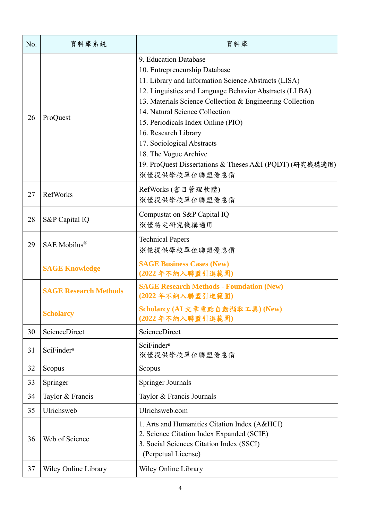| No. | 資料庫系統                        | 資料庫                                                                                                                                                                                                                                                                                                                                                                                                                                                                      |
|-----|------------------------------|--------------------------------------------------------------------------------------------------------------------------------------------------------------------------------------------------------------------------------------------------------------------------------------------------------------------------------------------------------------------------------------------------------------------------------------------------------------------------|
| 26  | ProQuest                     | 9. Education Database<br>10. Entrepreneurship Database<br>11. Library and Information Science Abstracts (LISA)<br>12. Linguistics and Language Behavior Abstracts (LLBA)<br>13. Materials Science Collection & Engineering Collection<br>14. Natural Science Collection<br>15. Periodicals Index Online (PIO)<br>16. Research Library<br>17. Sociological Abstracts<br>18. The Vogue Archive<br>19. ProQuest Dissertations & Theses A&I (PQDT) (研究機構適用)<br>※僅提供學校單位聯盟優惠價 |
| 27  | RefWorks                     | RefWorks (書目管理軟體)<br>※僅提供學校單位聯盟優惠價                                                                                                                                                                                                                                                                                                                                                                                                                                       |
| 28  | S&P Capital IQ               | Compustat on S&P Capital IQ<br>※僅特定研究機構適用                                                                                                                                                                                                                                                                                                                                                                                                                                |
| 29  | SAE Mobilus®                 | <b>Technical Papers</b><br>※僅提供學校單位聯盟優惠價                                                                                                                                                                                                                                                                                                                                                                                                                                 |
|     | <b>SAGE Knowledge</b>        | <b>SAGE Business Cases (New)</b><br>(2022年不納入聯盟引進範圍)                                                                                                                                                                                                                                                                                                                                                                                                                     |
|     | <b>SAGE Research Methods</b> | <b>SAGE Research Methods - Foundation (New)</b><br>(2022年不納入聯盟引進範圍)                                                                                                                                                                                                                                                                                                                                                                                                      |
|     | <b>Scholarcy</b>             | Scholarcy (AI 文章重點自動擷取工具) (New)<br>(2022年不納入聯盟引進範圍)                                                                                                                                                                                                                                                                                                                                                                                                                      |
| 30  | ScienceDirect                | ScienceDirect                                                                                                                                                                                                                                                                                                                                                                                                                                                            |
| 31  | SciFinder <sup>n</sup>       | SciFinder <sup>n</sup><br>※僅提供學校單位聯盟優惠價                                                                                                                                                                                                                                                                                                                                                                                                                                  |
| 32  | Scopus                       | Scopus                                                                                                                                                                                                                                                                                                                                                                                                                                                                   |
| 33  | Springer                     | Springer Journals                                                                                                                                                                                                                                                                                                                                                                                                                                                        |
| 34  | Taylor & Francis             | Taylor & Francis Journals                                                                                                                                                                                                                                                                                                                                                                                                                                                |
| 35  | Ulrichsweb                   | Ulrichsweb.com                                                                                                                                                                                                                                                                                                                                                                                                                                                           |
| 36  | Web of Science               | 1. Arts and Humanities Citation Index (A&HCI)<br>2. Science Citation Index Expanded (SCIE)<br>3. Social Sciences Citation Index (SSCI)<br>(Perpetual License)                                                                                                                                                                                                                                                                                                            |
| 37  | Wiley Online Library         | Wiley Online Library                                                                                                                                                                                                                                                                                                                                                                                                                                                     |